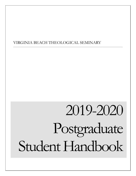# VIRGINIA BEACH THEOLOGICAL SEMINARY

\_\_\_\_\_\_\_\_\_\_\_\_\_\_\_\_\_\_\_\_\_\_\_\_\_\_\_\_\_\_\_\_\_\_\_\_\_\_\_\_\_\_\_\_\_\_\_\_\_\_\_\_\_\_\_\_\_\_\_\_\_\_\_\_\_\_\_\_\_\_\_\_\_\_\_\_\_\_\_\_\_\_\_\_\_\_\_\_\_\_\_\_\_\_\_\_\_\_\_\_\_\_\_\_\_\_\_\_\_\_\_\_\_\_\_\_\_\_\_\_\_\_\_

# 2019-2020 Postgraduate Student Handbook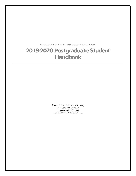# **VIRGINIA BEACH THEOL OGICAL SEMINARY** 2019-2020 Postgraduate Student Handbook

 Virginia Beach Theological Seminary 2221 Centerville Turnpike Virginia Beach, VA 23464 Phone 757.479.3706 • www.vbts.edu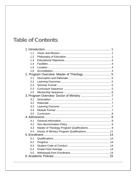# **Table of Contents**

| 11  |                                              |  |
|-----|----------------------------------------------|--|
| 1.2 |                                              |  |
| 1.3 |                                              |  |
| 1.4 |                                              |  |
| 1.5 |                                              |  |
| 1.6 |                                              |  |
|     | 2. Program Overview: Master of Theology  5   |  |
| 2.1 |                                              |  |
| 2.2 |                                              |  |
| 2.3 |                                              |  |
| 2.4 |                                              |  |
| 2.5 |                                              |  |
|     |                                              |  |
| 3.1 |                                              |  |
| 3.2 |                                              |  |
| 3.3 |                                              |  |
| 3.4 |                                              |  |
| 3.5 |                                              |  |
|     |                                              |  |
| 4.1 |                                              |  |
| 4.2 |                                              |  |
| 4.3 |                                              |  |
| 4.4 | Doctor of Ministry Program Qualifications 11 |  |
|     |                                              |  |
| 5.1 |                                              |  |
| 5.2 |                                              |  |
| 5.3 |                                              |  |
| 5.4 |                                              |  |
| 5.5 |                                              |  |
|     |                                              |  |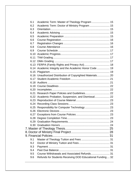| 6.1  |                                                            |  |
|------|------------------------------------------------------------|--|
| 6.2  | Academic Term: Doctor of Ministry Program  15              |  |
| 6.3  |                                                            |  |
| 6.4  |                                                            |  |
| 6.5  |                                                            |  |
| 6.6  |                                                            |  |
| 6.7  |                                                            |  |
| 6.8  |                                                            |  |
| 6.9  |                                                            |  |
| 6.10 |                                                            |  |
| 6.11 |                                                            |  |
|      |                                                            |  |
|      |                                                            |  |
|      | 6.14 Academic Integrity and the Academic Honor Code  19    |  |
|      |                                                            |  |
|      | 6.16 Unauthorized Distribution of Copyrighted Materials 20 |  |
|      |                                                            |  |
|      |                                                            |  |
|      |                                                            |  |
| 6.20 |                                                            |  |
| 6.21 |                                                            |  |
|      | 6.22 Academic Probation, Suspension, and Dismissal 22      |  |
|      |                                                            |  |
|      |                                                            |  |
| 6.25 |                                                            |  |
|      |                                                            |  |
|      |                                                            |  |
|      |                                                            |  |
|      |                                                            |  |
|      |                                                            |  |
|      |                                                            |  |
|      |                                                            |  |
|      |                                                            |  |
| 9.1  |                                                            |  |
| 9.2  |                                                            |  |
| 9.3  |                                                            |  |
| 9.4  |                                                            |  |
| 9.5  | Course Withdrawals and Associated Refunds 31               |  |
| 9.6  | Refunds for Students Receiving DOD Educational Funding 32  |  |
|      |                                                            |  |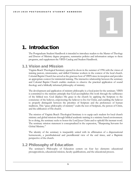# <span id="page-5-0"></span>1. Introduction

The Postgraduate Student Handbook is intended to introduce readers to the Master of Theology and Doctor of Ministry degree programs, summarize policies and information unique to these programs, and supplement the VBTS Catalog and Student Handbook.

# <span id="page-5-1"></span>1.1 Vision and Mission

Virginia Beach Theological Seminary opened its doors in the summer of 1996 with the vision of training pastors, missionaries, and skilled Christian workers in the context of the local church. Colonial Baptist Church has served as the gracious host of VBTS since its inception and provides an appropriate context for ministerial training. The interactive relationship between the seminary and Colonial Baptist Church enables students to observe the practical application of sound theology and a biblically informed philosophy of ministry.

The development and application of ministry philosophy is a focal point for the seminary. VBTS is committed to the ministry principle that God accomplishes His work through the sufficiency of the biblical text. God displays His grace in the church by applying the Scripture to the conscience of the believer, empowering the believer to live for Christ, and enabling the believer to properly distinguish between the priorities of Scripture and the preferences of human traditions. This "grace philosophy of ministry" exalts the text of Scripture, the person of Christ, and the edification of His church.

The mission of Virginia Beach Theological Seminary is to equip each student for local church ministry and global missions through biblical academic training in a ministry-based environment. In so doing, the seminary seeks to honor the Lord Jesus Christ and to uphold His inerrant word. The seminary mission statement is conceptualized in the expression, "Sharpening Servants for Global Ministry."

The identity of the seminary is inseparably united with its affirmation of a dispensational hermeneutic, a pretribulational and premillennial view of the end times, and a Baptistic perspective of the church.

# <span id="page-5-2"></span>1.2 Philosophy of Education

The seminary's Philosophy of Education centers on four key elements: educational presuppositions, educational mission, faculty qualifications, and the educational process.

1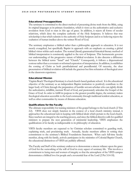#### Educational Presuppositions

The seminary is committed to the direct method of presenting divine truth from the Bible, using its original languages as its primary foundation, which it views as the authoritative and exclusive revelation from God to man in this age of grace. In addition, it rejects all forms of secular relativism, which deny the complete authority of the Holy Scriptures. It believes that true scholarship is that which submits to the authority of Holy Scripture and in so believing rejects the exaltation of human intellect above the written Word of God.

The seminary emphasizes a biblical rather than a philosophic approach to education. It is not merely evangelical, but specifically Baptist in approach with an emphasis on creating a global biblical vision within each student. The normal (literal)-grammatical-historical-literary method of biblical interpretation is consistently applied to the text of Scripture. This hermeneutic governs our understanding of the progressive nature of biblical revelation. It also discerns a difference between the biblical terms "Israel" and "Church." Consequently, it follows a dispensational contour rather than a covenant or reformed expression of interpretation. In addition, it establishes the coming of Christ as both pretribulational and premillennial. Of necessity, the clear presentation of biblical revelation will include the gracious but firm refutation of theological error in the classroom experience.

#### Educational Mission

Virginia Beach Theological Seminary is a local church-based graduate school. It is the educational objective of the seminary as an independent Baptist institution to positively contribute to the larger body of Christ through the preparation of humble servant-scholars who can rightly divide the authoritative, infallible, inerrant Word of God, and passionately articulate the Gospel of the Grace of God. In order to fulfill its purpose to the greatest possible degree, the seminary makes theological education accessible to the local community through traditional resident education, as well as other communities by means of distance education.

#### Qualifications for the Faculty

The ultimate responsibility for training ministers of the gospel belongs to the local church (2 Tim 2:2). VBTS does not simply function in the context of a local church ministry; instead, it approaches the educational task in keeping with biblical ideals which pertain to the local church. Since teachers are integral to the teaching process, and since the biblical directive calls for qualified ministers to prepare the next generation of ministerial leadership, VBTS emphasizes the qualifications of its faculty as indispensable to its philosophy of education.

VBTS faculty members are expected to be Christian scholars committed to guarding truth, explaining truth, and proclaiming truth. Annually, faculty members affirm in writing their commitment to the seminary's Biblical Foundations Statement. When each full-time faculty member, along with his family, actively participates in the ministries of Colonial Baptist Church, the educational distinctives of VBTS are publicly affirmed.

The Faculty and Staff of the seminary endeavor to demonstrate a sincere reliance upon the grace of God for the outworking of the will of God in every aspect of seminary life. This involves a commitment to being men and women of integrity so that the atmosphere of the VBTS campus demonstrates a biblical love for people and a reverential fear of the Lord (2 Pet 3:14-18).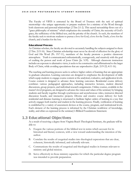The Faculty of VBTS is entrusted by the Board of Trustees with the task of spiritual mentorship—the unique opportunity to prepare students for a ministry of the Word through both classroom and personal relationships (2 Tim 2:1-2). This sacred stewardship flows out of a "grace philosophy of ministry" which emphasizes the centrality of Christ, the necessity of God's grace, the sufficiency of the biblical text, and the priority of the church. As such, the members of the faculty seek to motivate students to pursue a love for God, a love for the Truth, a love for the church, and a burden for the lost.

#### Educational Process

As Christian scholars, the faculty are devoted to accurately handling the subjects assigned to them (2 Tim. 2:15-16). Since Christian scholarship must never be devoid of affection for the glory of God and His Word (Ps. 19:7-11), members of the faculty promote a positive classroom atmosphere. Truth is communicated enthusiastically, courageously, and creatively with the goal of exalting the person and work of Jesus Christ (Jn. 5:39). Although classroom instruction includes an exposure to alternative views, it seeks to be constructive and affirmational to the larger Body of Christ, while avoiding speculations that are unproductive (Eph. 2:19-22; 4:11-16).

The teaching and learning process seeks to achieve higher orders of learning that are appropriate to graduate education. Learning outcomes are designed to emphasize the development of skills which equip students to engage course content at the analytical, evaluative, and application levels. Course content is designed to advance these learning outcomes. Residential course delivery combines various pedagogical approaches, including interactive lectures, student directed discussions, group projects, and individual research assignments. Online courses, available in the master's level programs, are designed to advance the vision and values of the seminary by bringing students and faculty together through synchronous and asynchronous video, instructor directed discussion boards, and interactive projects. Diverse and creative course delivery for both residential and distance learning is structured to facilitate higher orders of learning in a way that actively engages both teacher and student in the learning process. Finally, verification of learning is established by a variety of assessment devices at the course, program, and institutional levels. Each element of the learning process is informed by the Christian worldview of knowledge, reality, and ethics as expressed in the seminary's Biblical Foundations Statement.

# <span id="page-7-0"></span>1.3 Educational Objectives

As a result of receiving a degree from Virginia Beach Theological Seminary, the graduate will be able to:

- A. Exegete the various portions of the biblical text in terms which account for its historical and literary contexts, with a view toward understanding the intention of the author.
- B. Correlate the results of exegetical studies into theological expressions that are clear, coherent, historically informed, and culturally relevant.
- C. Communicate the results of exegetical and theological studies in formats relevant to ministry and global mission.
- D. Serve effectively in those ministry capacities for which the particular degree program was intended to provide preparation.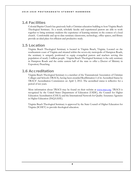### <span id="page-8-0"></span>1.4 Facilities

Colonial Baptist Church has graciously built a Christian education building to host Virginia Beach Theological Seminary. As a result, scholarly faculty and experienced pastors are able to work together to bring seminary students the experience of learning ministry in the context of a local church. Comfortable and up-to-date seminary classrooms, technology, office spaces, and library provide an ideal place for efficient and productive study.

### <span id="page-8-1"></span>1.5 Location

Virginia Beach Theological Seminary is located in Virginia Beach, Virginia. Located on the southeastern coast of Virginia and situated within the seven-city metropolis of Hampton Roads, the seminary is uniquely positioned to equip evangelical pastors and teachers serving this population of nearly 2 million people. Virginia Beach Theological Seminary is the only seminary in Hampton Roads and the entire eastern half of the state to offer a Doctor of Ministry in Expository Preaching.

### <span id="page-8-2"></span>1.6 Accreditation

Virginia Beach Theological Seminary is a member of the Transnational Association of Christian Colleges and Schools (TRACS), having been awarded Reaffirmation I of its Accredited Status by TRACS' Accreditation Commission on April 3, 2012. The accredited status is reflective for a period of ten years.

More information about TRACS may be found on their website at [www.tracs.org](http://www.tracs.org/). TRACS is recognized by the United States Department of Education (USDE), the Council for Higher Education Accreditation (CHEA) and the International Network for Quality Assurance Agencies in Higher Education (INQAAHE).

Virginia Beach Theological Seminary is approved by the State Council of Higher Education for Virginia (SCHEV) to provide theological education.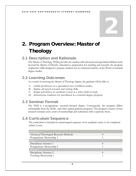# <span id="page-9-0"></span>2. Program Overview: Master of **Theology**

# <span id="page-9-1"></span>2.1 Description and Rationale

The Master of Theology (ThM) provides the student with advanced and specialized biblical study beyond the Master of Divinity. Intended as preparation for teaching and research, the program emphasizes skills designed to prepare students for an enhanced ministry of the Word or terminal degree studies.

# <span id="page-9-2"></span>2.2 Learning Outcomes

As a result of receiving the Master of Theology degree, the graduate will be able to:

- A. exhibit proficiency in a specialized area of biblical studies.
- B. display advanced research and writing skills.
- C. design and deliver an academic course in a select field of study.
- D. demonstrate readiness for enrollment in a terminal degree program.

# <span id="page-9-3"></span>2.3 Seminar Format

The ThM is a postgraduate, research-oriented degree. Consequently, the program differs substantially from the M.Div. and other typical graduate programs. The program consists of four research seminars and a series of mentorships and culminates with a capstone thesis.

# <span id="page-9-4"></span>2.4 Curriculum Sequence

The curriculum is intended as uninterrupted sequence of six academic terms, to be completed within 2 years.

| Summer 1                              |  |
|---------------------------------------|--|
| Advanced Theological Research Methods |  |
| Postgraduate Mentorship 1             |  |
| Fall 1                                |  |
| Disciplinary Seminar 1                |  |
| Postgraduate Mentorship 2             |  |
| Spring 1                              |  |
| Disciplinary Seminar 2                |  |
| Teaching Mentorship 1                 |  |
|                                       |  |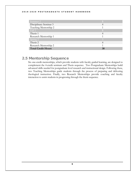#### 2019 - 2020 POSTGRADUA TE STUDENT HANDBOOK

| Summer 2                  |                |
|---------------------------|----------------|
| Disciplinary Seminar 3    |                |
| Teaching Mentorship 2     |                |
| Fall 2                    |                |
| Thesis 1                  | $\overline{4}$ |
| Research Mentorship 1     |                |
| Spring 2                  |                |
| Thesis 2                  | $\overline{A}$ |
| Research Mentorship 2     |                |
| <b>Total Credit Hours</b> |                |

# <span id="page-10-0"></span>2.5 Mentorship Sequence

Six one-credit mentorships, which provide students with faculty guided learning, are designed to complement the 4-credit seminars and Thesis sequence. Two Postgraduate Mentorships build advanced skills needed for postgraduate level research and instructional design. Following these, two Teaching Mentorships guide students through the process of preparing and delivering theological instruction. Finally, two Research Mentorships provide coaching and faculty interaction to assist students in progressing through the thesis sequence.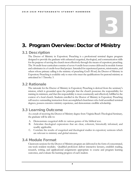# <span id="page-11-0"></span>3. Program Overview: Doctor of Ministry

# <span id="page-11-1"></span>3.1 Description

The Doctor of Ministry in Expository Preaching is a professional terminal degree program designed to provide the graduate with enhanced exegetical, theological, and communication skills for the purpose of serving the church most effectively through the means of expository preaching. The 34 credit-hour curriculum consists of seven 4 credit-hour courses delivered in module format and culminates in a 6 credit-hour final project. Intended for experienced pastors, missionaries, and others whose primary calling is the ministry of preaching God's Word, the Doctor of Ministry in Expository Preaching is available only to men who meet the qualifications for pastoral ministry as articulated in 1 Timothy 3.

## <span id="page-11-2"></span>3.2 Rationale

The rationale for the Doctor of Ministry in Expository Preaching is derived from the seminary's mission, which is grounded upon the principle that the church possesses the responsibility for training its ministers, and that this responsibility is most consistently and effectively fulfilled in the context of a local church. Students enrolled in the Doctor of Ministry in Expository Preaching will receive outstanding instruction from accomplished churchmen who hold accredited terminal degrees, possess extensive ministry experience, and demonstrate credible scholarship.

# <span id="page-11-3"></span>3.3 Learning Outcome

As a result of receiving the Doctor of Ministry degree from Virginia Beach Theological Seminary, the graduate will be able to:

- A. Demonstrate exegetical skills in various genres of the biblical text.
- B. Articulate theological expressions that are clear, coherent, historically informed, and readily applicable.
- C. Correlate the results of exegetical and theological studies in expository sermons which are relevant to ministry and global mission.

# <span id="page-11-4"></span>3.4 Module Format

Classroom sessions for the Doctor of Ministry program are delivered in the form of concentrated, one-week resident modules. Qualified professors deliver interactive lectures, establish reading, research, writing, and applicational assignments appropriate to course and program learning outcomes, and evaluate the learning progress of each student.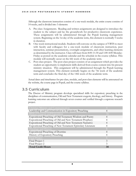Although the classroom instruction consists of a one-week module, the entire course consists of 14 weeks, and is divided into 3 elements:

- A. Pre-class Assignments. Reading and written assignments are designed to introduce the student to the subject and lay the groundwork for productive classroom experience. These assignments will be administered through the Populi learning management system. Beginning on the 1st day of the academic term, this element is normally 5 weeks in duration.
- B. One-week instructional module. Students will convene on the campus of VBTS to meet with faculty and colleagues for a one-week module of classroom instruction, peer interaction, seminar presentations, overnight assignments, and other learning elements as determined by the instructor. Class will meet from 8:00-11:30 and 1:00-4:00 Monday-Friday as posted on the academic calendar and the schedule in the course syllabus. This module will normally occur on the 6th week of the academic term.
- C. Post-class project. The post-class project consists of an assignment which provides the student an opportunity to implement skills derived from course content into his present ministry situation. This assignment will be administered through the Populi learning management system. This element normally begins on the 7th week of the academic term and concludes the final day of the 14th week of the academic term.

Actual dates and timeframes for pre-class, module, and post-class elements will be announced on the website, the course page in Populi, and the course syllabus.

## <span id="page-12-0"></span>3.5 Curriculum

The Doctor of Ministry program develops specialized skills for expository preaching in the disciplines of communication, Old and New Testament exegesis, theology, and history. Program learning outcomes are achieved through seven courses and verified through a capstone research project.

| Christian Ministry and Communication                          |    |
|---------------------------------------------------------------|----|
| Leadership and Communication in Expository Preaching          | 4  |
| Biblical Exegesis and Exposition                              | 16 |
| Expositional Preaching of Old Testament Wisdom and Poetry     | 4  |
| Expositional Preaching of Old and New Testament Prophecy      | 4  |
| Expositional Preaching of Old and New Testament Narrative     | 4  |
| Expositional Preaching of New Testament Epistolary Literature |    |
| Theology and History                                          | 8  |
| <b>Expositional Preaching of Doctrine</b>                     | 4  |
| History of Expository Preaching                               | 4  |
| <b>Final Project</b>                                          | 6  |
| Final Project 1                                               | 3  |
| Final Project 2                                               | 3  |
| <b>Total Credit Hours</b>                                     | 34 |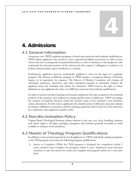# <span id="page-13-0"></span>4. Admissions

# <span id="page-13-1"></span>4.1 General Information

Acceptance into VBTS's graduate programs is based upon personal and academic qualifications. VBTS admits applicants who profess to have experienced biblical conversion by faith in Jesus Christ, who have consequently committed themselves to a life of obedience to the Scriptures, who understand the doctrinal position of the school, and who express a willingness to submit to its policies and procedures upon enrollment as a student.

Furthermore, applicants must be academically qualified to carry out the rigors of a graduate program. The Doctor of Ministry program at VBTS requires a recognized Master of Divinity degree, or its equivalent, for entrance. The Doctor of Ministry Committee will evaluate all transcripts, references, interviews, and other submitted materials to determine whether the applicant meets the standards and criteria for admission. VBTS reserves the right to refuse admission to any applicant who does not fulfill these personal and academic qualifications.

In order to nurture a positive learning environment, applicants who take exception to the doctrinal position of the seminary must indicate in writing specific points of difference. VBTS encourages the exercise of academic freedom within the broader scope of the seminary's core doctrines, values, and mission. For this reason, applicants who identify points of difference must also indicate in writing a willingness to promote a positive learning experience both in and out of the classroom by a submissive and supportive manner of life.

# <span id="page-13-2"></span>4.2 Non-discrimination Policy

Virginia Beach Theological Seminary admits students of any race, sex, color, handicap, national, and ethnic origin to all rights, privileges, programs, and activities generally accorded or made available to students of the institution.

# <span id="page-13-3"></span>4.3 Master of Theology Program Qualifications

In addition to the general requirements for all applicants to VBTS, individuals seeking acceptance to the ThM program must meet the following program qualifications:

A. Intent to Complete—While the ThM program is designed for completion within 2 years, students must complete the program within 5 years. Applicants must articulate intention to take all courses for credit and complete the program within the 5-year time limit.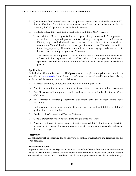- B. Qualification for Ordained Ministry—Applicants need not be ordained but must fulfill the qualifications for ministry as articulated in 1 Timothy 3. In keeping with this criterion, the ThM program is available only to men.
- C. Graduate Education—Applicants must hold a traditional M.Div. degree.
	- 1. A traditional M.Div. degree is, for the purpose of application to the ThM program, defined as a completed graduate ministerial degree designated as a Master of Divinity degree, and which reflects not less than 80 credit hours of earned academic credit at the Master's level on the transcript, of which at least 12 credit hours reflect Greek language study, 12 credit hours reflect Hebrew language study, and 9 credit hours reflect the study of Systematic Theology.
	- 2. Transcripts of the completed Master of Divinity should reflect a cumulative GPA of 3.0 or higher. Applicants with a GPA below 3.0 may apply for admissions: applicants accepted without the minimum GPA will begin the program on academic probation.

#### Application

Individuals seeking admission to the ThM program must complete the application for admission available at [www.vbts.edu](http://www.vbts.edu/). In addition to confirming the general qualifications listed above, applicants will be asked to provide the following:

- A. A written testimony of personal conversion by faith in Jesus Christ.
- B. A written account of personal commitment to a ministry of teaching and/or preaching.
- C. An affirmation indicating understanding and agreement to abide by the Student Code of Conduct.
- D. An affirmation indicating substantial agreement with the Biblical Foundations Statement.
- E. Endorsement from a local church affirming that the applicant fulfills the biblical qualifications for pastoral ministry.
- F. Academic, Professional, and Pastoral References.
- G. Official transcripts of all undergraduate and graduate education.
- H. A copy of a thesis or major research paper completed during the Master of Divinity program which demonstrates competence in written composition, research, and use of the English language.

#### Interview

All applicants will be scheduled for an interview to confirm qualifications and readiness for the ThM program.

#### Transfer of Credit

Applicant may contact the Registrar to request a transfer of credit from another institution to VBTS. A maximum of 6 credits of comparable coursework from an accredited institution may be transferred into the program. In order to qualify, courses proposed for transfer of credit must (1)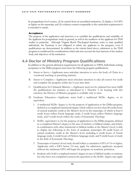be postgraduate level courses, (2) be earned from an accredited institution, (3) display a 3.0 GPA or higher on the transcript, and (4) evidence content comparable to the curriculum requirement it is intended to satisfy.

#### Acceptance

The purpose of the application and interview is to establish the qualifications and suitability of the applicant for postgraduate study in general, as well as the readiness of the applicant for ThM studies in particular. Although Virginia Beach Theological Seminary seeks to train qualified individuals, the Seminary is not obligated to admit any applicant to the program, even if qualifications are demonstrated. In addition to the criteria listed above, admission to the ThM program is conditioned by considerations which take into account the best interests of the student body and objectives of the institution.

# <span id="page-15-0"></span>4.4 Doctor of Ministry Program Qualifications

In addition to the general admission requirements for all applicants to VBTS, Individuals seeking acceptance to the DMin program must meet the following program qualifications:

- A. Intent to Serve—Applicants must articulate intention to serve the body of Christ in a vocational teaching or preaching ministry.
- B. Intent to Complete—Applicants must articulate intention to take all courses for credit and complete the program within the 6-year time limit.
- C. Qualification for Ordained Ministry—Applicants need not be ordained but must fulfill the qualifications for ministry as articulated in 1 Timothy 3. In keeping with this criterion, the Doctor of Ministry program is available only to men.
- D. Graduate Education—Applicants must hold a traditional M.Div. degree, or its equivalent.
	- 1. A traditional M.Div. degree is, for the purpose of application to the DMin program, defined as a completed ministerial degree which reflects not less than 80 credit hours of earned academic credit at the Master's level on the transcript, of which at least 6 credit hours reflect Greek language study, 6 credit hours reflect Hebrew language study, and 9 credit hours reflect the study of Systematic Theology.
	- 2. M.Div. equivalency is, for the purpose of application to the DMin program, defined as a completed Master's degree in the area of ministry or biblical studies, and which, in combination with other ministerial or biblical studies at the Master's level, is able to display the following in the form of academic transcripts: 80 credit hours of earned academic credit at the Master's level, including 6 credit hours of Greek language study, 6 credit hours of Hebrew language study, and 9 credit hours of study in the field of Systematic Theology.
	- 3. Transcripts of master's level study should reflect a cumulative GPA of 3.0 or higher. Applicants with a GPA below 3.0 may apply for admission; applicants accepted without the minimum GPA will begin the program on academic probation.
	- 4. Students who hold a completed master's degree in area of biblical studies or ministry but who have not completed coursework equivalent to the M.Div. degree may apply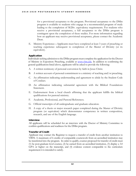for a provisional acceptance to the program. Provisional acceptance to the DMin program is available to students who engage in a recommended program of study leading to the completion of M.Div. equivalency requirements. For students who receive a provisional acceptance, a full acceptance to the DMin program is contingent upon the completion of these studies. For more information regarding how an applicant may receive provisional acceptance, please contact the Academic Dean.

E. Ministry Experience—Applicants must have completed at least 3 years of preaching or teaching experience subsequent to completion of the Master of Divinity (or its equivalent).

#### Application

Individuals seeking admission to the DMin program must complete the application for the Doctor of Ministry in Expository Preaching, available at [www.vbts.edu](http://www.vbts.edu/). In addition to confirming the general qualifications listed above, applicants will be asked to provide the following:

- A. A written testimony of personal conversion by faith in Jesus Christ.
- B. A written account of personal commitment to a ministry of teaching and/or preaching.
- C. An affirmation indicating understanding and agreement to abide by the Student Code of Conduct.
- D. An affirmation indicating substantial agreement with the Biblical Foundations Statement.
- E. Endorsement from a local church affirming that the applicant fulfills the biblical qualifications for pastoral ministry.
- F. Academic, Professional, and Pastoral References.
- G. Official transcripts of all undergraduate and graduate education.
- H. A copy of a thesis or major research paper completed during the Master of Divinity program (or equivalent) which demonstrates competence in written composition, research, and use of the English language.

#### Interview

All applicants will be scheduled for an interview with the Doctor of Ministry Committee to confirm qualifications and readiness for the DMin program.

#### Transfer of Credit

Applicant may contact the Registrar to request a transfer of credit from another institution to VBTS. A maximum of 6 credits of comparable coursework from an accredited institution may be transferred into the program. In order to qualify, courses proposed for transfer of credit must (1) be post-graduate level courses, (2) be earned from an accredited institution, (3) display a 3.0 GPA or higher on the transcript, and (4) evidence content comparable to the curriculum requirement it is intended to satisfy.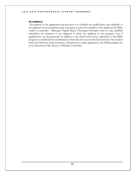#### Acceptance

The purpose of the application and interview is to establish the qualifications and suitability of the applicant for post-graduate study in general, as well as the readiness of the applicant for DMin studies in particular. Although Virginia Beach Theological Seminary seeks to train qualified individuals, the Seminary is not obligated to admit any applicant to the program, even if qualifications are demonstrated. In addition to the criteria listed above, admission to the DMin program is conditioned by considerations which take into account the best interests of the student body and objectives of the institution. All decisions to admit applicants to the DMin program are at the discretion of the Doctor of Ministry Committee.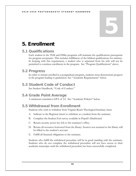# <span id="page-18-0"></span>5. Enrollment

# <span id="page-18-1"></span>5.1 Qualifications

Each student in the ThM and DMin programs will maintain the qualifications prerequisite for program acceptance. This includes fulfillment of the biblical qualifications for ministry. In keeping with this requirement, a student who is separated from his wife will not be permitted to continue enrollment in the program. See "Program Qualifications" above.

# <span id="page-18-2"></span>5.2 Progress

In order to remain enrolled in a postgraduate program, students must demonstrate progress in the program leading to graduation. See "Academic Requirements" below.

# <span id="page-18-3"></span>5.3 Student Code of Conduct

See Student Handbook, "Code of Conduct."

# <span id="page-18-4"></span>5.4 Grade Point Average

A minimum cumulative GPA of 3.0. See "Academic Policies" below.

# <span id="page-18-5"></span>5.5 Withdrawal from Enrollment

Students who wish to withdraw from Virginia Beach Theological Seminary must:

- A. Indicate to the Registrar intent to withdraw as a student from the seminary.
- B. Complete the Student Exit survey available in Populi's Dashboard.
- C. Return security access key fob to the seminary's office.
- D. Return all resources borrowed from the library. Sources not returned to the library will be billed to the student's account.
- E. Fulfill all financial obligations to the seminary.

Students who fulfill the withdrawal procedure will be in good standing with the seminary. Students who do not complete the withdrawal procedure will not have access to their academic transcripts until the withdrawal procedure has been successfully completed.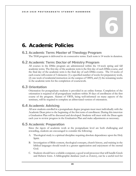# <span id="page-19-0"></span>6. Academic Policies

## <span id="page-19-1"></span>6.1 Academic Term: Master of Theology Program

The ThM program is delivered in six consecutive terms. Each term is 14 weeks in duration.

### <span id="page-19-2"></span>6.2 Academic Term: Doctor of Ministry Program

All courses in the DMin program are administered within the 14-week spring and fall academic terms. The first day of the academic term is the first day of each DMin course, and the final day of the academic term is the final day of each DMin course. The 14 weeks of each course will consist of 3 elements: (1) a specified number of weeks for preparatory work, (2) one week of residential instruction on the campus of VBTS, and (3) the remaining weeks in the academic term for the completion of coursework.

## <span id="page-19-3"></span>6.3 Orientation

Orientation for postgraduate students is provided in an online format. Completion of the orientation is required of all postgraduate students within 30 days of enrollment of the first course of the program. Alumni of VBTS, being well-informed on many aspects of the seminary, will be required to complete an abbreviated version of orientation.

## <span id="page-19-4"></span>6.4 Academic Advising

All new students enrolled in a postgraduate degree program must meet individually with the Academic Dean prior to the beginning of the first term of enrollment. During this interview a Graduation Plan will be discussed and developed. Students will meet with the Dean again each year to review progress in the Graduation Plan and make adjustments as necessary.

# <span id="page-19-5"></span>6.5 Academic Preparation

Since the rigors of academic work at the postgraduate level are both challenging and rewarding, students are encouraged to consider the following:

- A. Theological study is a spiritual discipline requiring absolute dependence upon the Holy Spirit.
- B. Investigation of Bible content, theological concepts, church history, and training in the biblical languages should result in a greater appreciation and enjoyment of the eternal God.
- C. Students should have a reliable computer, a good word processor that will handle Greek and Hebrew fonts. A bibliographic database (such as Zotero), can be a useful tool for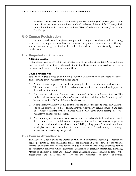expediting the process of research. For the purposes of writing and research, the student should have the most recent edition of Kate Turabian's, A Manual for Writers, which should be followed in conjunction with the VBTS Guidelines for Papers, Theses, and Final Projects.

### <span id="page-20-0"></span>6.6 Course Registration

Each semester students will be given an opportunity to register for classes in the upcoming term. Since early registration facilitates textbook ordering and decisions on course offerings, students are encouraged to finalize their schedules and care for financial obligations in a timely manner.

#### <span id="page-20-1"></span>6.7 Registration Changes

#### Adding a Course

A student may add a class within the first five days of the fall or spring term. Class additions must be initiated in writing by the student with the Registrar and approved by the course professor and finalized by the Academic Dean.

#### Course Withdrawal

Students may drop a class by completing a Course Withdrawal form (available in Populi). The following course withdrawal policies apply:

- A. A student may drop a course without penalty by the end of the first week of a class. The student will receive a 100% refund of tuition and fees, and no mark will appear on the student's transcript.
- B. A student may withdraw from a course by the end of the second week of a class. The student will receive a 50% refund of tuition and fees, and the student's transcript will be marked with a "W" (withdrawn) for the course.
- C. A student may withdraw from a course after the end of the second week only until the end of the fifth week of a class. The student will receive a 0% refund of tuition and fees. The student's transcript will be marked with a "WP" (withdrawn passing) or "WF" (withdrawn failing) for the course.
- D. A student may not withdraw from a course after the end of the fifth week of a class. If the student does not fulfill course obligations, the student will receive a grade in accordance with the class syllabus and the VBTS grading policy. The student will not be eligible to receive any refund for tuition and fees. A student may not change registration status during this period.

### <span id="page-20-2"></span>6.8 Course Attendance

The Master of Theology and the Doctor of Ministry in Expository Preaching are residential degree programs. Doctor of Ministry courses are delivered in a concentrated 5-day module format. The nature of the course content and delivery is such that course objectives cannot be sufficiently achieved unless classroom attendance is carefully maintained. Similarly, Master of Theology courses are seminar based; attendance at all sessions is critical for the presentation and interaction necessary for the fulfillment of course objectives.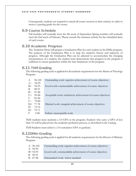Consequently, students are required to attend all course sessions in their entirety in order to receive a passing grade for the course.

#### <span id="page-21-0"></span>6.9 Course Schedule

Fall modules will normally meet the 4th week of September; Spring modules will normally meet the 2nd week of February. Please consult the seminary website for the scheduled dates of each course.

## <span id="page-21-1"></span>6.10 Academic Progress

The Academic Dean will prepare a Graduation Plan for each student in the DMin program. The purpose of the Graduation Plan is to map the student's history and trajectory of progress. Although the Graduation Plan can be adjusted to accommodate the changing circumstances of a student, the student must demonstrate that progress in the program is sufficient to ensure graduation within the time limitations of the program.

## <span id="page-21-2"></span>6.11 ThM Grading

The following grading scale is applied for all academic requirements for the Master of Theology Program:

| $\mathsf{A}$ | 96-100      | Outstanding work: superior achievement of course objectives    |
|--------------|-------------|----------------------------------------------------------------|
| $A -$        | 94-95       |                                                                |
| $B+$         | 92-93       | Good work: commendable achievement of course objectives        |
| -B           | 89-91       |                                                                |
| $B-$         | 87-88       |                                                                |
|              | $C+85-86$   | Acceptable work: satisfactory achievement of course objectives |
|              | $C = 81-84$ |                                                                |
|              | $C - 79-80$ |                                                                |
|              | D+ 77-78    | Minimal work: marginal achievement of course objectives        |
| D            | 72-76       |                                                                |
|              | $D- 70-71$  |                                                                |
| $\mathbf{F}$ | $0 - 80$    | Failure: unacceptable work                                     |

ThM students must maintain a 3.0 GPA in the program. Students who carry a GPA of less than 3.0 will be placed into the academic probation process, as described in the Catalog.

ThM Students must achieve a 3.0 cumulative GPA to graduate.

### <span id="page-21-3"></span>6.12DMin Grading

The following grading scale is applied for all academic requirements for the Doctor of Ministry Program:

| A 96-100    | Outstanding work: superior achievement of course objectives |
|-------------|-------------------------------------------------------------|
| $A - 94-95$ |                                                             |
| $B+92-93$   | Good work: commendable achievement of course objectives     |
| B 89-91     |                                                             |
| B-87-88     | Substandard work: below standard                            |
|             |                                                             |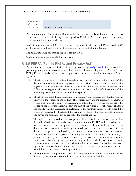| $C+85-86$ |                            |
|-----------|----------------------------|
| C 81-84   |                            |
| F 0-80    | Failure: unacceptable work |

The minimum grade for passing a Doctor of Ministry course is a B, with the exception of no more than two courses, which may receive a grade of C, C+, or B−. Course grades not attaining to this standard will be recorded as an F.

Students must maintain a 3.0 GPA in the program. Students who carry a GPA of less than 3.0 will be placed into the academic probation process, as described in the Catalog.

The minimum grade for passing the final project is a B.

Students must achieve a 3.0 GPA to graduate.

## <span id="page-22-0"></span>6.13 FERPA (Family Rights and Privacy Act)

The student may contact the Office of the Registrar at  $registrar@vbts.edu$  for the complete</u> policy regarding student records access. The Family Educational Rights and Privacy Act of 1974 (FERPA) affords students certain rights with respect to their education records. These rights are:

- A. The right to inspect and review the student's educational records within 45 days of the day the seminary receives a request for access. The student should submit to the registrar written requests that identify the record(s) he or she wishes to inspect. The Office of the Registrar will make arrangements for access and notify the student of the time and place where the records may be inspected.
- B. The right to request the amendment of the student's education records that the student believes is inaccurate or misleading. The student may ask the seminary to amend a record that he or she believes is inaccurate or misleading. He or she should write the Office of the Registrar, clearly identify the part of the record he or she wants changed and specify why it is inaccurate or misleading. If the seminary decides not to amend the record as requested by the student, the seminary will notify the student of the decision and advise the student of his or her rights for further appeal.
- C. The right to consent to disclosures of personally identifiable information contained in the student's education records, except to the extent the FERPA authorizes disclosure without consent. One exception, which permits disclosure without consent, is disclosure to school officials with legitimate educational interests. A school official is defined as a person employed by the seminary in an administrative, supervisory, academic, or support staff position (including law enforcement unit and health staff); a person or company with whom the seminary has contracted (such as an attorney, auditor, or collection agent); a person serving on the board of trustees; or a person assisting another school official in performing his or her tasks. A school official has a legitimate educational interest if the official needs to review an education record in order to fulfill his or her professional responsibility.
- D. The right to file a complaint with the U.S. Department of Education concerning alleged failures by the seminary to comply with the requirements of FERPA.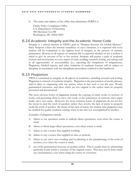E. The name and address of the office that administers FERPA is:

Family Policy Compliance Office U.S. Department of Education 400 Maryland Ave SW Washington, DC 20202-4605

### 6.14 Academic Integrity and the Academic Honor Code

<span id="page-23-0"></span>Integrity is a critical element in VBTS's goal to "Sharpen Servants for Global Ministry." Since Scripture values the internal soundness of one's character, it is expected that every student will be committed to the highest level of integrity in the process of ministry preparation. Honesty in all aspects of seminary life is expected whether or not a student is asked to give an account of his or her actions. Students will pursue a path of academic honesty and moral purity in every aspect of study (reading, research, writing, test taking) and in all opportunities of accountability (i.e., reporting the completion of assignments). Plagiarism, falsified reports, and other violations of academic honesty will be subject to discipline in accordance with the disciplinary procedures outlined in this handbook.

#### 6.15 Plagiarism

<span id="page-23-1"></span>VBTS is committed to integrity in all aspects of academics, including research and writing. Plagiarism is a breach of academic integrity. Plagiarism is the presentation of words, phrases, and/or ideas as originating with the author, when in fact such is not the case. Words, grammatical structures, and ideas which are not original to the author must be properly presented and documented.

The most obvious forms of plagiarism include the copying of entire works or sections of works, and presenting them as one's own work, or the submission of someone else's paper under one's own name. However, the most common forms of plagiarism do not involve the intent to steal the work of another; rather, they involve the lack of intent to properly credit the work of another. By means of this lack of intent, the student who plagiarizes may be credited for quality academic writing, when in fact this was accomplished by another.

Examples of plagiarism include:

- A. failure to use quotation marks to indicate direct quotations, even when the source is cited;
- B. failure to block larger direct quotations, even when source is cited;
- C. failure to cite a source that supplied wording;
- D. failure to cite a source that supplied an idea or method;
- E. failure to use one's own wording and/or phrasing in the paraphrasing of the work of another, even when the source is cited;
- F. use of the grammatical structure of another author. This is usually done by substituting particular words within a sentence of the original source. This may not be done under any circumstances, even when citing the source in a footnote.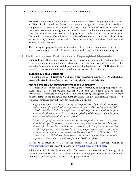Plagiarism, intentional or unintentional, is not tolerated at VBTS. All postgraduate students at VBTS hold a graduate degree, a universally recognized credential for academic competence. Therefore, all students admitted to the Doctor of Ministry program are regarded as competent for engaging in academic research and writing, understanding what plagiarism is, and knowing how to avoid plagiarism. Students who consider themselves deficient in this area will benefit from the review of research and writing methods provided in the seminary's Orientation, as well as from the seminary's Guidelines for Papers and Theses and Final Projects.

The penalty for plagiarism may include failure of the course. Intentional plagiarism is a violation of the student Code of Conduct, and as such, may result in academic suspension.

## 6.16 Unauthorized Distribution of Copyrighted Materials

<span id="page-24-0"></span>Virginia Beach Theological Seminary has developed and implemented written plans to effectively combat the unauthorized distribution of copyright materials by users of the institution's network, without unduly interfering with educational goals. VBTS students are required to respect applicable laws related to use of copyrighted material.

#### Technology Based Deterrents

As a technology-based deterrent, VBTS uses a next-generation firewall (NGFW), which has been configured to block Peer-to-Peer (P2P) file sharing on the network.

#### Mechanisms for Educating and Informing the Community

As a mechanism for educating and informing the community about appropriate versus inappropriate use of copyrighted material, VBTS asks all students in New Student Orientation to complete training in the seminary's Learning Management System on their understanding of the following statement explaining the civil and criminal penalties for violation of Federal copyright laws  $(34 \text{ CFR } 668.43(a)(10)(ii))$ :

*Copyright infringement is the act of exercising, without permission or legal authority, one or more of the exclusive rights granted to the copyright owner under section 106 of the Copyright Act (Title 17 of the United States Code). These rights include the right to reproduce or distribute a copyrighted work. In the file-sharing context, downloading or uploading substantial parts of a copyrighted work without authority constitutes an infringement.*

*Penalties for copyright infringement include civil and criminal penalties. In general, anyone found liable for civil copyright infringement may be ordered to pay either actual damages or "statutory" damages affixed at not less than \$750 and not more than \$30,000 per work infringed. For "willful" infringement, a court may award up to \$150,000 per work infringed. A court can, in its discretion, also assess costs and attorneys' fees. For details, see Title 17, United States Code, Sections 504, 505. Willful copyright infringement can also result in criminal penalties, including imprisonment of up to five years arid fines of up to \$250,000 per offense.* 

For more information, please see the website of the U.S. Copyright Office at [www.copyright.gov](http://www.copyright.gov/), especially their FAQ's at [www.copyright.gov/help/faq](http://www.copyright.gov/help/faq).

Additionally, VBTS asks all faculty and staff to read and understand the following article posted in Populi's Shared Folder - "Reproduction of Copyrighted Works by Educators and Librarians" (written by the United States Copyright Office).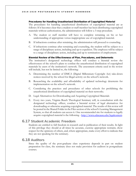#### Procedures for Handling Unauthorized Distribution of Copyrighted Material

The procedures for handling unauthorized distribution of copyrighted material are as follows: If it becomes clear that a student or staff member has been distributing copyrighted materials without authorization, the administration will follow a 3-step procedure.

- A. The student or staff member will have to complete retraining on his or her understanding of appropriate versus inappropriate use of copyrighted material.
- B. If infractions continue after retraining, the administration will proceed to counseling.
- C. If infractions continue after retraining and counseling, the student will be subject to a range of disciplinary action, including and up to expulsion. The employee will be subject to a range of disciplinary action, including and up to termination of employment.

#### Biennial Review of the Effectiveness of Plan, Procedures, and Deterrents

The institution's designated technology officer will conduct a biennial review the effectiveness of the school's plans to combat the unauthorized distribution of copyrighted materials by users of the institution's network. The assessment criteria used in the review will include, but not be limited to, the following:

- A. Determining the number of DMCA (Digital Millennium Copyright Act) take-down notices received by the school for illegal activity on the school's network.
- B. Researching the availability and affordability of updated technology deterrents for implementation on the school's network.
- C. Considering the practices and procedures of other schools for prohibiting the unauthorized distribution of copyrighted material on their networks.
- D. Legal Alternatives for Downloading and Acquiring Copyrighted Materials
- E. Every two years, Virginia Beach Theological Seminary will, in consultation with the designated technology officer, conduct a biennial review of legal alternatives for downloading or otherwise acquiring copyrighted material. The results of this review will be posted in the Shared Folder in the Files section of the school's Learning Management System, so that all students can access it. One recommended site for students to legally acquire copyrighted material is the following - <http://www.educause.edu/legalcontent>.

### 6.17 Student Academic Freedom

<span id="page-25-0"></span>Students are entitled to full freedom in research and in publication of their results. In light of this privilege they should at all times be accurate, exercise appropriate restraint, show respect for the opinions of others, and, where appropriate, make every effort to indicate that they are not speaking for the seminary.

#### 6.18 Auditors

<span id="page-25-1"></span>Since the quality of the post-graduate class experience depends in part on student preparation for class, the seminary does not make provision for auditors in postgraduate courses.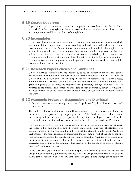## 6.19 Course Deadlines

<span id="page-26-0"></span>Papers and course requirements must be completed in accordance with the deadlines established in the course syllabus. Each professor will assess penalties for work submitted according to the established deadlines of the syllabus.

## 6.20 Incompletes

<span id="page-26-1"></span>In the event that a student encounters unforeseen and unpreventable circumstances which interfere with the completion of a course according to the schedule in the syllabus, a student may submit a request to the Administration for the course to be marked as Incomplete. This is done through the Request for Incomplete Status form in Populi. If approved, the Registrar will mark the student record as Incomplete. All courses marked by the Registrar as an Incomplete must be completed no later than the last day of the following academic term. Incomplete courses not completed within the parameters of the next academic term will be marked with an F by the Registrar.

## 6.21 Research Paper Policies and Guidelines

<span id="page-26-2"></span>Unless otherwise stipulated in the course syllabus, all papers submitted for course requirements must conform to the format of the current edition of Turabian, A Manual for Writers and VBTS's Guidelines for Writing: A Manual for Research Papers, ThM Theses, and Doctoral Final Projects. The physical copy of all written work, which is submitted for a grade in a given class, becomes the property of the professor, although, in most cases, it is returned to the student. The content and/or ideas of such documents, however, remain the intellectual property of the author and may not be copied or used without the permission of the author.

## 6.22 Academic Probation, Suspension, and Dismissal

<span id="page-26-3"></span>In the event that a student's grade point average drops below 3.0, the following process will be implemented:

The student will meet with the Academic Dean to assess the circumstances contributing to the semester grade point average dropping below 3.0. The Academic Dean will document the meeting and provide a written report to the Registrar. The Registrar will include the report in the student's file and will mark the student's grade report, Academic Probation.

If a student's semester grade point average drops below 3.0 a second consecutive semester, the student will be suspended from the program for a period of one year. The Registrar will include the report in the student's file and will mark the student's grade report, Academic Suspension. If the student desires to continue in the program, he will, at the end of the one year suspension, petition the faculty for Program Continuation (permission to continue in the program), and indicate to the faculty measures that have been taken to ensure a successful completion of the program. The decision of the faculty to approve or decline Program Continuation is final.

In the event that (1) a student in Academic Suspension declines to petition the faculty for Program Continuation, (2) the faculty declines to extend Program Continuation to a student in Academic Suspension or (3) the student's semester grade point average drops below 3.0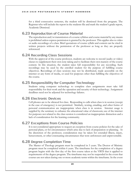for a third consecutive semester, the student will be dismissed from the program. The Registrar who will include the report in the students file and mark the student's grade report, Academic Dismissal.

#### 6.23 Reproduction of Course Material

<span id="page-27-0"></span>The reproduction and/or transmission of a course syllabus and course material by any means is prohibited unless express permission is granted by the professor. This applies also to video or audio recordings of a class. Brief quotations of course syllabi and content can be cited in written projects without the permission of the professor as long as they are properly referenced.

### 6.24 Recording Class Sessions

<span id="page-27-1"></span>With the approval of the course professor, students are welcome to record (audio or video) classes to supplement their own note taking and to facilitate their own mastery of the course content. In this situation, the student takes full responsibility for any recording. Such recordings may be used by the enrolled student for the purpose of fulfilling course objectives. Recordings of class sessions may not be distributed, made accessible on the internet or any form of media, or used for purposes other than fulfilling the objectives of the course.

## 6.25 Responsibility for Computer Technology

<span id="page-27-2"></span>Students using computer technology to complete class assignments must take full responsibility for their work and the operation and security of their technology. Assignment deadlines need not be adjusted for technology failures.

## 6.26 Electronic Devices

<span id="page-27-3"></span>Cell phones are to be silenced for class. Responding to calls when class is in session (except in the case of emergency) is not permitted. Similarly, texting, emailing, and other forms of personal communication are inappropriate when class is in session. Internet usage is supplied by the seminary to enhance the educational value of classroom; use of the internet for purposes not related to the class session is considered an inappropriate distraction and a lack of consideration for the learning community.

# 6.27 Exceptions from Course Policies

<span id="page-27-4"></span>It is not considered appropriate to request an exception from course policies for the sake of personal plans, or for circumstances which arise due to lack of preparation or planning. At the discretion of the professor, consideration may be taken for extended illness, injury, bereavement, or other extenuating circumstances that were unforeseen and unpreventable.

# 6.28 Degree Completion Time

<span id="page-27-5"></span>The Master of Theology program must be completed in 5 years. The Doctor of Ministry program must be completed within 6 years. The timeframe for the completion of a degree program begins with the first day of the first course taken at the VBTS that is applied to requirements of the degree program. The timeframe may not be suspended in the event that courses are not taken during one or more academic terms within the timeframe. In the event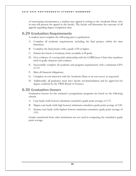of extenuating circumstances, a student may appeal in writing to the Academic Dean, who in turn will present the appeal to the faculty. The faculty will determine the outcome of all appeals regarding degree completion time.

#### 6.29 Graduation Requirements

<span id="page-28-0"></span>A student must complete the following prior to graduation:

- A. Complete all academic requirements, including the final project, within the time limitation;
- B. Complete the final project with a grade of B or higher.
- C. Submit the Intent to Graduate form (available in Populi);
- D. Give evidence of a saving faith relationship with the LORD Jesus Christ that manifests itself in godly character and conduct;
- E. Successfully complete all academic and program requirements with a minimum GPA of 3.0.
- F. Meet all financial obligations;
- G. Complete an exit interview with the Academic Dean or an exit survey as requested.
- H. Additionally, all graduates must have faculty recommendation and be approved for degree conferral by the VBTS Board of Trustees.

#### 6.30 Graduation Honors

<span id="page-28-1"></span>Graduation honors for the seminary's postgraduate programs are based on the following criteria:

- A. Cum laude (with honors) minimum cumulative grade point average of 3.75.
- B. Magna cum laude (with high honors) minimum cumulative grade point average of 3.85.
- C. Summa cum laude (with highest honors) minimum cumulative grade point average of 3.95.

Grades transferred from other institutions are not used in computing the cumulative grade point average.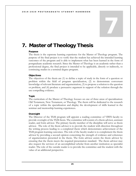# <span id="page-29-0"></span>7. Master of Theology Thesis

#### Purpose

The thesis is the capstone learning experience for the Master of Theology program. The purpose of the final project is to verify that the student has achieved the intended learning outcomes of the program and is able to implement what has been learned in the form of postgraduate academic research. Since the Master of Theology is an academic rather than a professional degree, the final project is intended to be applicable, directly or indirectly, to continuing studies in a terminal degree program.

#### **Objectives**

The objectives of the thesis are (1) to define a topic of study in the form of a question or problem within the field of program specialization, (2) to demonstrate conversant knowledge of relevant literature and argumentation, (3) to propose a solution to the question or problem, and (4) produce a persuasive argument in support of the solution through the use compelling evidence.

#### Topic

The curriculum of the Master of Theology focuses on one of three areas of specialization: Old Testament, New Testament, or Theology. The thesis will be dedicated to the research of a topic within the specialization and display the development of skills learned in the seminar and mentorship learning experiences.

#### **Oversight**

The Director of the ThM program will appoint a reading committee of VBTS faculty to provide oversight of the ThM thesis. The committee will consist of a thesis advisor, assistant reader, and form advisor. The primary faculty member of the discipline will serve as thesis advisor. The role of the thesis advisor is to provide the student with direction throughout the writing process leading to a completed thesis which demonstrates achievement of the ThM program learning outcomes. The role of the faculty reader is to complement the thesis advisor by providing a second opinion concerning the strength of evidence and coherence of argumentation presented in the thesis. The form advisor assists the thesis advisor by ensuring that the thesis meets the required presentation standard. The thesis advisor may also request the services of an accomplished scholar from another institution as specialist reader. The role of the outside reader is to provide the committee and the student with the value of an additional perspective.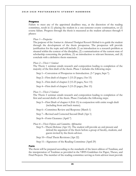#### Progress

Failure to meet any of the appointed deadlines may, at the discretion of the reading committee, result in (1) placing the student in a one-semester course continuation, or (2) course failure. Progress through the thesis is measured as the student advances through 4 phases:

#### *Phase 1—Prospectus*

The purpose of the *Seminar in Advanced Theological Research Methods* is to guide the student through the development of the thesis prospectus. The prospectus will provide justification for the topic and will include (1) an introduction to a research problem as situated within the context of the discipline, (2) a summarization of the current state of scholarship concerning the problem, (3) an introduction to relevant literature, and (4) conclude with a definitive thesis statement.

#### *Phase 2—Thesis 1 Seminar*

The Thesis 1 seminar entails research and composition leading to completion of the majority of the first draft of the thesis. Phase 1 includes the following steps:

Step 1—Conversion of Prospectus to Introduction. (5-7 pages, Sept 7).

Step 2—First draft of chapter 1 (15-25 pages, Oct 15)

Step 3—First draft of chapter 2 (15-25 pages, Nov 15)

Step 4—First draft of chapter 3 (15-25 pages, Dec 15)

#### *Phase 3—Thesis 2 Seminar*

The Thesis 2 seminar entails research and composition leading to completion of the first and second drafts of the thesis. Phase 2 includes the following steps:

- Step 5—First Draft of chapter 4 (Feb 15) in conjunction with entire rough draft (including front and back matter).
- Step 6—Committee Review and Response (March 1)

Step 7—Revised and Corrected Second Draft (Apr 1)

Step 8—Form Clearance (April 7)

- *Phase 4—Thesis Defense and Committee Affirmation*
	- Step 9—Thesis Defense (Apr 15). The student will provide an oral present and defend the argument of the thesis before a group of faculty, students, and guests invited by the thesis advisor.
	- Step 10—Final Thesis Revisions (Apr 22)

Step 11—Signatures of the Reading Committee (April 29)

#### Form

The thesis will be prepared according to the standards of the latest edition of Turabian, and the interpretation of Turabian as provided in the VBTS Guidelines for Paper, Theses, and Final Projects. The member of the reading committee serving as form advisor must provide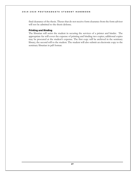final clearance of the thesis. Theses that do not receive form clearance from the form advisor will not be admitted to the thesis defense.

#### Printing and Binding

The librarian will assist the student in securing the services of a printer and binder. The appropriate fee will cover the expense of printing and binding two copies; additional copies may be procured at the student's expense. The first copy will be archived in the seminary library; the second will to the student. The student will also submit an electronic copy to the seminary librarian in pdf format.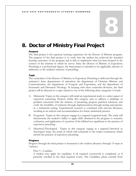# <span id="page-32-0"></span>8. Doctor of Ministry Final Project

#### Purpose

The final project is the capstone learning experience for the Doctor of Ministry program. The purpose of the final project is to verify that the student has achieved the intended learning outcomes of the program and is able to implement what has been learned in the context of the ministry in which he serves. Since the Doctor of Ministry in Expository Preaching is a professional degree, the final project is intended to be applicable, directly or indirectly, to the student's ministry of preaching.

#### Topic

The curriculum of the Doctor of Ministry in Expository Preaching is delivered through the seminary's three departments of education: the department of Christian Ministry and Communication, the department of Exegesis and Exposition, and the department of Systematic and Historical Theology. In keeping with these curricular divisions, the final project will be directed to a topic related to one of the following three categories of study:

- A. Ministerial. Topics in this category will entail an experimental study in a select aspect of expository preaching. Projects within this category seek to address a challenge or problem associated with the ministry of preaching, propose practical solutions, and verify the feasibility of solutions through implementation through testing and practice in a ministerial setting. Experimental research is correlated with relevant literature, resulting in an analysis and recommendation for future ministerial practice.
- B. Exegetical. Topics in this category engage in a targeted exegetical study. The study will demonstrate the student's ability to apply skills obtained in the program to research, evaluation, and application of a portion of the biblical text significant to the practice of expository preaching.
- C. Historical/Theological. Topics in this category engage in a targeted historical or theological study, the result of which will commend to the reader conclusions which inform the practice of expository preaching.

#### Progress

Progress through the final project is measured as the student advances through 15 steps in 3 phases:

#### *Phase 1—Candidacy*

A student may apply for candidacy if all required coursework is completed, or if presently enrolled in the final required course. The Candidacy phase extends from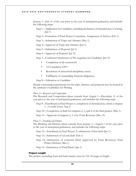#### 2019 - 2020 POSTGRADUA TE STUDENT HANDBOOK

January 1—July 31 of the year prior to the year of anticipated graduation, and includes the following steps:

- Step 1—Application for Candidacy, including declaration of intended area of writing. (Jan 1)
- Step 2—Formation of Final Project Committee, Assignment of Advisor (Feb 1)

Step 3—Submission of Topic and Abstract (May 1)

Step 4—Approval of Topic and Abstract (Jun 1)

Step 5—Submission of Proposal (Jul 1)

Step 6—Approval of Proposal (Jul 31)

Step 7—Confirmed Satisfaction of Pre-requisites for Candidacy (Jul 31)

- Completion of all coursework
- 3.0 Cumulative GPA
- Resolution of unresolved disciplinary issues
- Fulfillment of outstanding financial obligations

Step 8—Admission to Candidacy

Details concerning requirements for the topic, abstract, and proposal may be located in the seminary's Guidelines for Writing.

#### *Phase 2—Research and Composition*

The Research and Composition phase extends from August 1—December 31 of the year prior to the year of anticipated graduation, and includes the following steps:

Step 9—Enrollment in Final Project 1; completion of Introduction, which is chapter 1. (3 credit hours; Aug 1)

Step 10—Completion of draft for chapters 2, 3, and 4 of the final project. (Dec 1)

Step 11—Approval of chapters 2, 3, 4 by Form Reviewer (Dec 15)

#### *Phase 3—Drafting and Defense*

The Drafting and Defense phase extends from January 1—August 1 of the year prior to the year of anticipated graduation, and includes the following steps:

Step 12—Enrollment in Final Project 2; submission of first draft (Jan 1)

Step 13—Submission of second draft (Feb 1)

Step 14—Submission of corrected Draft (approved by Form Reviewer); Final Project Defense (Mar 1)

Step 15—Submission of Final Draft (Apr 1)

#### Project Length

The project (excluding front and back matter) must be 125–50 pages in length.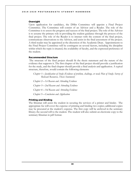#### **Oversight**

Upon application for candidacy, the DMin Committee will appoint a Final Project Committee. The Committee will consist of an Advisor and a Reader. The role of the Committee is to assess the progress and success of the final project. The role of the Advisor is to assume the primary role in providing the student guidance through the process of the final project. The role of the Reader is to interact with the content of the final project, communicate observations to the Advisor, and assist in the final assessment of the project. A third reader may be appointed at the discretion of the Academic Dean. Appointments to the Final Project Committee will be contingent on several factors, including the discipline within which the topic is situated, the availability of faculty, and the expressed preference of the student.

#### Recommended Structure

The structure of the final project should fit the thesis statement and the nature of the evidence that supports it. The first chapter of the final project should provide a justification for the study, and the final chapter should provide a final analysis and application. A typical structure, therefore, would contain the following elements:

*Chapter 1—Justification of Study (Evidence of problem, challenge, or need; Plan of Study; Survey of Relevant Resources, Thesis Statement)* 

*Chapter 2—1st Reason and Attending Evidence Chapter 3—2nd Reason and Attending Evidence Chapter 4—3rd Reason and Attending Evidence Chapter 5—Conclusion and Application* 

#### Printing and Binding

The librarian will assist the student in securing the services of a printer and binder. The appropriate fee will cover the expense of printing and binding two copies; additional copies may be procured at the student's expense. The first copy will be archived in the seminary library; the second will to the student. The student will also submit an electronic copy to the seminary librarian in pdf format.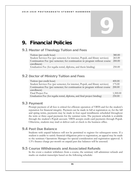# <span id="page-35-0"></span>9. Financial Policies

# <span id="page-35-1"></span>9.1 Master of Theology Tuition and Fees

| Tuition (per credit hour)                                                       | 380.00 |
|---------------------------------------------------------------------------------|--------|
| Student Services Fee (per semester; for internet, Populi, and library services) | 265.00 |
| Continuation Fee (per semester; for continuation in program without course      | 200.00 |
| enrollment)                                                                     |        |
| Graduation Fee (for regalia rental, diploma, and thesis binding)                | 250.00 |

# <span id="page-35-2"></span>9.2 Doctor of Ministry Tuition and Fees

| Tuition (per credit hour)                                                       | 400.00   |
|---------------------------------------------------------------------------------|----------|
| Student Services Fee (per semester; for internet, Populi, and library services) | 175.00   |
| Continuation Fee (per semester; for continuation in program without course      | 200.00   |
| enrollment)                                                                     |          |
| Final Project Fee                                                               | 1,500.00 |
| Graduation Fee (for regalia rental, diploma, and final project binding)         | 250.00   |

## <span id="page-35-3"></span>9.3 Payment

Prompt payment of all fees is critical for efficient operation of VBTS and for the student's reputation for financial integrity. Payment can be made in full at registration or, for the fall and spring terms, payments may be made in four equal installments scheduled throughout the term or three equal payments for the summer term. The payment schedule is available through the student's Populi account. VBTS accepts credit card payments through Populi. Otherwise, students may mail or deliver cash or check to the business office.

# <span id="page-35-4"></span>9.4 Past Due Balance

Students with unpaid balances will not be permitted to register for subsequent terms. If a student is unable to satisfy financial obligations prior to registration, an appeal may be made to the seminary Operations Manager for special consideration and registration approval. A 1.5% finance charge per month on unpaid past due balances will be assessed.

# <span id="page-35-5"></span>9.5 Course Withdrawals and Associated Refunds

In the event a student withdraws from a course, the seminary will administer refunds and marks on student transcripts based on the following schedule: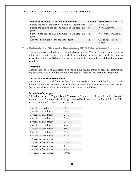| Period Withdrawal is Initiated by Student                       |         | <b>Refund</b> Transcript Mark  |
|-----------------------------------------------------------------|---------|--------------------------------|
| Before the end of the first week of the academic term           | $100\%$ | No mark                        |
| Before the end of the second week of the academic $50\%$        |         | W (withdrawn)                  |
| term                                                            |         |                                |
| Between the second and fifth week of the academic $0\%$<br>term |         | WF (withdrawn failing)         |
| After the fifth week of the academic term                       | $0\%$   | Grade per terms of<br>syllabus |

#### <span id="page-36-0"></span>9.6 Refunds for Students Receiving DOD Educational Funding

Students who received federal aid from the Department of Veteran Affairs (VA) or agencies within the Department of Defense shall be reimbursed in accordance with the policies articulated within VA 21.4255. Accordingly, refunds to such student shall be administered as follows:

#### **Definition**

Enrollment consists of a registration of one or more courses within an academic term which has been initiated by an individual who has been accepted as a student in the institution.

#### Calculation of Enrollment Period

Enrollment is calculated from the first day of the academic term until the day the student initiates a withdrawal from the course, or the last day of the academic term, whichever occurs first. A partial week of enrollment shall be accounted as a full week.

#### Schedule of Charges

All DMin courses at Virginia Beach Theological Seminary are delivered within a 14-week academic term. Consequently, all charges assessed by the seminary (tuition and fees) shall be assessed on the following pro-rata schedule:

| 1 week of enrollment   | $7\%$   |
|------------------------|---------|
| 2 weeks of enrollment  | $14\%$  |
| 3 weeks of enrollment. | $21\%$  |
| 4 weeks of enrollment  | 29%     |
| 5 weeks of enrollment  | 36%     |
| 6 weeks of enrollment  | 43%     |
| 7 weeks of enrollment  | 50%     |
| 8 weeks of enrollment  | $57\%$  |
| 9 weeks of enrollment  | $64\%$  |
| 10 weeks of enrollment | $71\%$  |
| 11 weeks of enrollment | 79%     |
| 12 weeks of enrollment | 86%     |
| 13 weeks of enrollment | 93%     |
| 14 weeks of enrollment | $100\%$ |
|                        |         |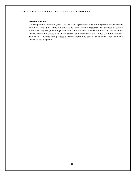#### Prompt Refund

Unused portions of tuition, fees, and other charges associated with the period of enrollment shall be refunded in a timely manner. The Office of the Registrar shall process all course withdrawal requests, including notification of completed course withdrawals to the Business Office, within 3 business days of the date the student submits the Course Withdrawal Form. The Business Office shall process all refunds within 30 days of such notification from the Office of the Registrar.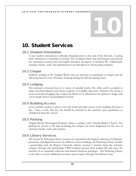# <span id="page-38-0"></span>10. Student Services

### <span id="page-38-1"></span>10.1 Student Orientation

A new-student orientation is officially scheduled prior to the start of the fall term. A spring term orientation is scheduled as needed. The Academic Dean and staff prepare and present the orientation sessions that thoroughly introduce all aspects of seminary life. Additionally, seminary faculty, staff, and administration are introduced to all incoming students.

#### <span id="page-38-2"></span>10.2 Chapel

Students residing in the Virginia Beach area are welcome to participate in chapel and the following brunch every Thursday morning during the fall and spring terms.

#### <span id="page-38-3"></span>10.3 Lodging

The seminary is located close to a variety of suitable hotels. The office staff is available to make recommendations and advise students of available discounts. Students who desire a more economical lodging may contact the Director of Admissions for options to lodge with a host family from Colonial Baptist Church.

### <span id="page-38-4"></span>10.4 Building Access

Every resident student is given a key fob which provides access to the building 24 hours a day, 7 days a week. The key fob should be returned to the seminary upon graduation or withdrawal from the school.

#### <span id="page-38-5"></span>10.5 Parking

Virginia Beach Theological Seminary shares a campus with Colonial Baptist Church. The parking lot closest to the lake bordering the campus has been designated for the cars of seminary faculty, staff, and students.

#### <span id="page-38-6"></span>10.6 Library Services

The Ernest D. Pickering Library consists of a specialized theological collection of hardcopy, periodical, and digital resources. In addition to these holdings, the Pickering Library sustains a partnership with the Regent University Library, located 5 minutes from the seminary campus. Though this partnership, VBTS students present their student ID and enjoy the benefits of an expanded collection and limited checkout privileges. The Pickering Library is also able to secure additional resources upon request through inter-library loans.